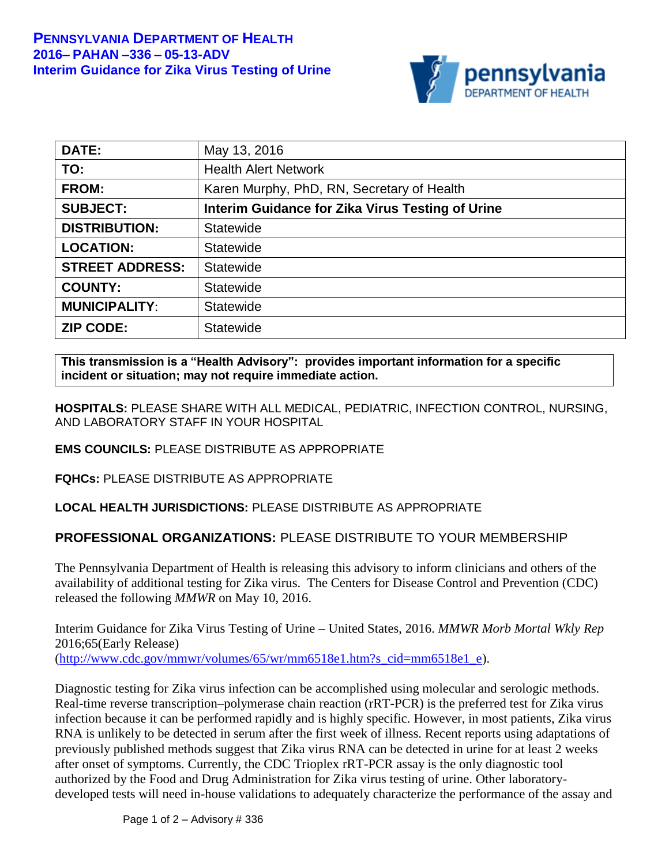

| DATE:                  | May 13, 2016                                     |
|------------------------|--------------------------------------------------|
| TO:                    | <b>Health Alert Network</b>                      |
| <b>FROM:</b>           | Karen Murphy, PhD, RN, Secretary of Health       |
| <b>SUBJECT:</b>        | Interim Guidance for Zika Virus Testing of Urine |
| <b>DISTRIBUTION:</b>   | <b>Statewide</b>                                 |
| <b>LOCATION:</b>       | <b>Statewide</b>                                 |
| <b>STREET ADDRESS:</b> | <b>Statewide</b>                                 |
| <b>COUNTY:</b>         | <b>Statewide</b>                                 |
| <b>MUNICIPALITY:</b>   | Statewide                                        |
| <b>ZIP CODE:</b>       | <b>Statewide</b>                                 |

**This transmission is a "Health Advisory": provides important information for a specific incident or situation; may not require immediate action.**

**HOSPITALS:** PLEASE SHARE WITH ALL MEDICAL, PEDIATRIC, INFECTION CONTROL, NURSING, AND LABORATORY STAFF IN YOUR HOSPITAL

## **EMS COUNCILS:** PLEASE DISTRIBUTE AS APPROPRIATE

**FQHCs:** PLEASE DISTRIBUTE AS APPROPRIATE

## **LOCAL HEALTH JURISDICTIONS:** PLEASE DISTRIBUTE AS APPROPRIATE

## **PROFESSIONAL ORGANIZATIONS:** PLEASE DISTRIBUTE TO YOUR MEMBERSHIP

The Pennsylvania Department of Health is releasing this advisory to inform clinicians and others of the availability of additional testing for Zika virus. The Centers for Disease Control and Prevention (CDC) released the following *MMWR* on May 10, 2016.

Interim Guidance for Zika Virus Testing of Urine – United States, 2016. *MMWR Morb Mortal Wkly Rep* 2016;65(Early Release) [\(http://www.cdc.gov/mmwr/volumes/65/wr/mm6518e1.htm?s\\_cid=mm6518e1\\_e\)](http://www.cdc.gov/mmwr/volumes/65/wr/mm6518e1.htm?s_cid=mm6518e1_e).

Diagnostic testing for Zika virus infection can be accomplished using molecular and serologic methods. Real-time reverse transcription–polymerase chain reaction (rRT-PCR) is the preferred test for Zika virus infection because it can be performed rapidly and is highly specific. However, in most patients, Zika virus RNA is unlikely to be detected in serum after the first week of illness. Recent reports using adaptations of previously published methods suggest that Zika virus RNA can be detected in urine for at least 2 weeks after onset of symptoms. Currently, the CDC Trioplex rRT-PCR assay is the only diagnostic tool authorized by the Food and Drug Administration for Zika virus testing of urine. Other laboratorydeveloped tests will need in-house validations to adequately characterize the performance of the assay and